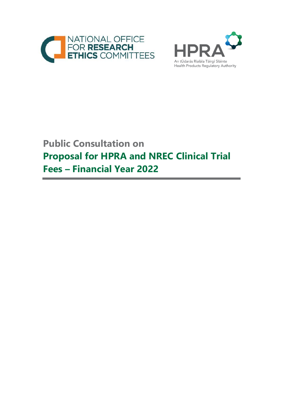



# **Public Consultation on Proposal for HPRA and NREC Clinical Trial Fees – Financial Year 2022**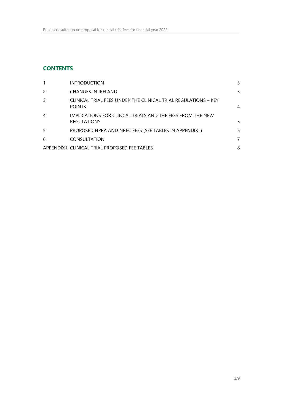# **CONTENTS**

| <b>INTRODUCTION</b>                                                             | 3  |
|---------------------------------------------------------------------------------|----|
| <b>CHANGES IN IRELAND</b>                                                       | 3  |
| CLINICAL TRIAL FEES UNDER THE CLINICAL TRIAL REGULATIONS – KEY<br><b>POINTS</b> | 4  |
| IMPLICATIONS FOR CLINCAL TRIALS AND THE FEES FROM THE NEW<br><b>REGULATIONS</b> | 5  |
| PROPOSED HPRA AND NREC FEES (SEE TABLES IN APPENDIX I)                          | 5. |
| <b>CONSULTATION</b>                                                             | 7  |
| APPENDIX I CLINICAL TRIAL PROPOSED FEE TABLES                                   | 8  |
|                                                                                 |    |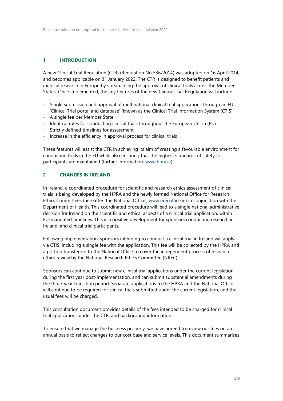# **1 INTRODUCTION**

A new Clinical Trial Regulation (CTR) (Regulation No 536/2014) was adopted on 16 April 2014, and becomes applicable on 31 January 2022. The CTR is designed to benefit patients and medical research in Europe by streamlining the approval of clinical trials across the Member States. Once implemented, the key features of the new Clinical Trial Regulation will include:

- Single submission and approval of multinational clinical trial applications through an EU 'Clinical Trial portal and database' (known as the Clinical Trial Information System (CTIS);
- A single fee per Member State
- Identical rules for conducting clinical trials throughout the European Union (EU)
- Strictly defined timelines for assessment
- Increase in the efficiency in approval process for clinical trials

These features will assist the CTR in achieving its aim of creating a favourable environment for conducting trials in the EU while also ensuring that the highest standards of safety for participants are maintained (further information: [www.hpra.ie\)](file:///C:/Users/hansond/AppData/Local/Microsoft/Windows/INetCache/Content.Outlook/KMKTQ7BD/www.hpra.ie).

# **2 CHANGES IN IRELAND**

In Ireland, a coordinated procedure for scientific and research ethics assessment of clinical trials is being developed by the HPRA and the newly formed National Office for Research Ethics Committees (hereafter 'the National Office'; [www.nrecoffice.ie\)](http://www.nrecoffice.ie/) in conjunction with the Department of Health. This coordinated procedure will lead to a single national administrative decision for Ireland on the scientific and ethical aspects of a clinical trial application, within EU-mandated timelines. This is a positive development for sponsors conducting research in Ireland, and clinical trial participants.

Following implementation, sponsors intending to conduct a clinical trial in Ireland will apply via CTIS, including a single fee with the application. This fee will be collected by the HPRA and a portion transferred to the National Office to cover the independent process of research ethics review by the National Research Ethics Committee (NREC).

Sponsors can continue to submit new clinical trial applications under the current legislation during the first year post-implementation, and can submit substantial amendments during the three-year transition period. Separate applications to the HPRA and the National Office will continue to be required for clinical trials submitted under the current legislation, and the usual fees will be charged.

This consultation document provides details of the fees intended to be charged for clinical trial applications under the CTR, and background information.

To ensure that we manage the business properly, we have agreed to review our fees on an annual basis to reflect changes to our cost base and service levels. This document summarises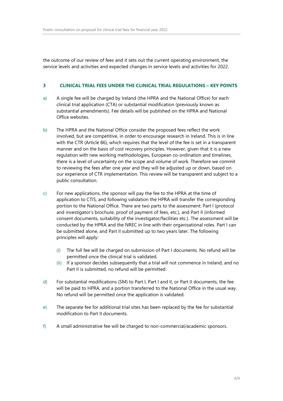the outcome of our review of fees and it sets out the current operating environment, the service levels and activities and expected changes in service levels and activities for 2022.

#### **3 CLINICAL TRIAL FEES UNDER THE CLINICAL TRIAL REGULATIONS – KEY POINTS**

- a) A single fee will be charged by Ireland (the HPRA and the National Office) for each clinical trial application (CTA) or substantial modification (previously known as substantial amendments). Fee details will be published on the HPRA and National Office websites.
- b) The HPRA and the National Office consider the proposed fees reflect the work involved, but are competitive, in order to encourage research in Ireland. This is in line with the CTR (Article 86), which requires that the level of the fee is set in a transparent manner and on the basis of cost recovery principles. However, given that it is a new regulation with new working methodologies, European co-ordination and timelines, there is a level of uncertainty on the scope and volume of work. Therefore we commit to reviewing the fees after one year and they will be adjusted up or down, based on our experience of CTR implementation. This review will be transparent and subject to a public consultation.
- c) For new applications, the sponsor will pay the fee to the HPRA at the time of application to CTIS, and following validation the HPRA will transfer the corresponding portion to the National Office. There are two parts to the assessment: Part I (protocol and investigator's brochure, proof of payment of fees, etc.), and Part II (informed consent documents, suitability of the investigator/facilities etc.). The assessment will be conducted by the HPRA and the NREC in line with their organisational roles. Part I can be submitted alone, and Part II submitted up to two years later. The following principles will apply:
	- (i) The full fee will be charged on submission of Part I documents. No refund will be permitted once the clinical trial is validated.
	- (ii) If a sponsor decides subsequently that a trial will not commence in Ireland, and no Part II is submitted, no refund will be permitted.
- d) For substantial modifications (SM) to Part I, Part I and II, or Part II documents, the fee will be paid to HPRA, and a portion transferred to the National Office in the usual way. No refund will be permitted once the application is validated.
- e) The separate fee for additional trial sites has been replaced by the fee for substantial modification to Part II documents.
- f) A small administrative fee will be charged to non-commercial/academic sponsors.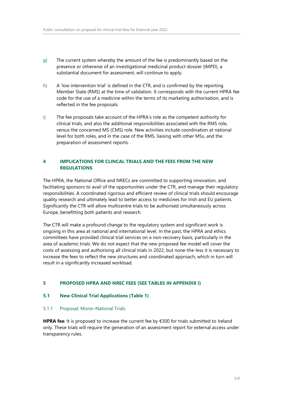- g) The current system whereby the amount of the fee is predominantly based on the presence or otherwise of an investigational medicinal product dossier (IMPD), a substantial document for assessment, will continue to apply.
- h) A 'low intervention trial' is defined in the CTR, and is confirmed by the reporting Member State (RMS) at the time of validation. It corresponds with the current HPRA fee code for the use of a medicine within the terms of its marketing authorisation, and is reflected in the fee proposals.
- i) The fee proposals take account of the HPRA's role as the competent authority for clinical trials, and also the additional responsibilities associated with the RMS role, versus the concerned MS (CMS) role. New activities include coordination at national level for both roles, and in the case of the RMS, liaising with other MSs, and the preparation of assessment reports.

# **4 IMPLICATIONS FOR CLINCAL TRIALS AND THE FEES FROM THE NEW REGULATIONS**

The HPRA, the National Office and NRECs are committed to supporting innovation, and facilitating sponsors to avail of the opportunities under the CTR, and manage their regulatory responsibilities. A coordinated rigorous and efficient review of clinical trials should encourage quality research and ultimately lead to better access to medicines for Irish and EU patients. Significantly the CTR will allow multicentre trials to be authorised simultaneously across Europe, benefitting both patients and research.

The CTR will make a profound change to the regulatory system and significant work is ongoing in this area at national and international level. In the past, the HPRA and ethics committees have provided clinical trial services on a non-recovery basis, particularly in the area of academic trials. We do not expect that the new proposed fee model will cover the costs of assessing and authorising all clinical trials in 2022, but none-the-less it is necessary to increase the fees to reflect the new structures and coordinated approach, which in turn will result in a significantly increased workload.

#### **5 PROPOSED HPRA AND NREC FEES (SEE TABLES IN APPENDIX I)**

#### **5.1 New Clinical Trial Applications (Table 1)**

#### 5.1.1 Proposal: Mono–National Trials

**HPRA fee**: It is proposed to increase the current fee by €300 for trials submitted to Ireland only. These trials will require the generation of an assessment report for external access under transparency rules.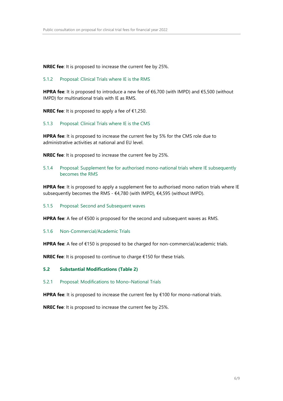**NREC fee**: It is proposed to increase the current fee by 25%.

#### 5.1.2 Proposal: Clinical Trials where IE is the RMS

**HPRA fee**: It is proposed to introduce a new fee of €6,700 (with IMPD) and €5,500 (without IMPD) for multinational trials with IE as RMS.

**NREC fee**: It is proposed to apply a fee of €1,250.

#### 5.1.3 Proposal: Clinical Trials where IE is the CMS

**HPRA fee**: It is proposed to increase the current fee by 5% for the CMS role due to administrative activities at national and EU level.

**NREC fee**: It is proposed to increase the current fee by 25%.

5.1.4 Proposal: Supplement fee for authorised mono-national trials where IE subsequently becomes the RMS

**HPRA fee**: It is proposed to apply a supplement fee to authorised mono nation trials where IE subsequently becomes the RMS - €4,780 (with IMPD), €4,595 (without IMPD).

#### 5.1.5 Proposal: Second and Subsequent waves

**HPRA fee**: A fee of €500 is proposed for the second and subsequent waves as RMS.

5.1.6 Non-Commercial/Academic Trials

**HPRA fee**: A fee of €150 is proposed to be charged for non-commercial/academic trials.

**NREC fee**: It is proposed to continue to charge €150 for these trials.

#### **5.2 Substantial Modifications (Table 2)**

5.2.1 Proposal: Modifications to Mono–National Trials

**HPRA fee**: It is proposed to increase the current fee by €100 for mono-national trials.

**NREC fee**: It is proposed to increase the current fee by 25%.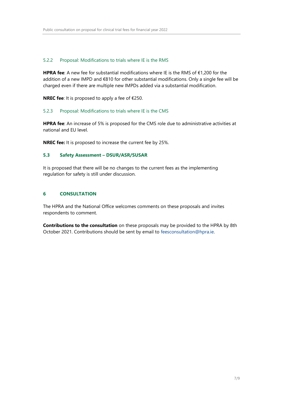### 5.2.2 Proposal: Modifications to trials where IE is the RMS

**HPRA fee**: A new fee for substantial modifications where IE is the RMS of €1,200 for the addition of a new IMPD and €810 for other substantial modifications. Only a single fee will be charged even if there are multiple new IMPDs added via a substantial modification.

**NREC fee**: It is proposed to apply a fee of €250.

#### 5.2.3 Proposal: Modifications to trials where IE is the CMS

**HPRA fee**: An increase of 5% is proposed for the CMS role due to administrative activities at national and EU level.

**NREC fee:** It is proposed to increase the current fee by 25%.

# **5.3 Safety Assessment – DSUR/ASR/SUSAR**

It is proposed that there will be no changes to the current fees as the implementing regulation for safety is still under discussion.

#### **6 CONSULTATION**

The HPRA and the National Office welcomes comments on these proposals and invites respondents to comment.

**Contributions to the consultation** on these proposals may be provided to the HPRA by 8th October 2021. Contributions should be sent by email to [feesconsultation@hpra.ie.](mailto:feesconsultation@hpra.ie)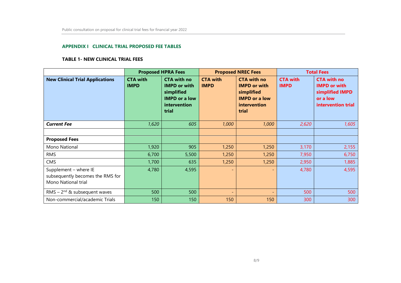#### **APPENDIX I CLINICAL TRIAL PROPOSED FEE TABLES**

#### **TABLE 1- NEW CLINICAL TRIAL FEES**

|                                                                                  | <b>Proposed HPRA Fees</b>      |                                                                                                          | <b>Proposed NREC Fees</b>      |                                                                                                          | <b>Total Fees</b>              |                                                                                                |
|----------------------------------------------------------------------------------|--------------------------------|----------------------------------------------------------------------------------------------------------|--------------------------------|----------------------------------------------------------------------------------------------------------|--------------------------------|------------------------------------------------------------------------------------------------|
| <b>New Clinical Trial Applications</b>                                           | <b>CTA with</b><br><b>IMPD</b> | <b>CTA with no</b><br><b>IMPD or with</b><br>simplified<br><b>IMPD or a low</b><br>intervention<br>trial | <b>CTA with</b><br><b>IMPD</b> | <b>CTA with no</b><br><b>IMPD or with</b><br>simplified<br><b>IMPD or a low</b><br>intervention<br>trial | <b>CTA with</b><br><b>IMPD</b> | <b>CTA with no</b><br><b>IMPD or with</b><br>simplified IMPD<br>or a low<br>intervention trial |
| <b>Current Fee</b>                                                               | 1,620                          | 605                                                                                                      | 1,000                          | 1,000                                                                                                    | 2,620                          | 1,605                                                                                          |
|                                                                                  |                                |                                                                                                          |                                |                                                                                                          |                                |                                                                                                |
| <b>Proposed Fees</b>                                                             |                                |                                                                                                          |                                |                                                                                                          |                                |                                                                                                |
| Mono National                                                                    | 1,920                          | 905                                                                                                      | 1,250                          | 1,250                                                                                                    | 3,170                          | 2,155                                                                                          |
| <b>RMS</b>                                                                       | 6,700                          | 5,500                                                                                                    | 1,250                          | 1,250                                                                                                    | 7,950                          | 6,750                                                                                          |
| CMS                                                                              | 1,700                          | 635                                                                                                      | 1,250                          | 1,250                                                                                                    | 2,950                          | 1,885                                                                                          |
| Supplement - where IE<br>subsequently becomes the RMS for<br>Mono National trial | 4,780                          | 4,595                                                                                                    | $\overline{\phantom{0}}$       | $\overline{\phantom{a}}$                                                                                 | 4,780                          | 4,595                                                                                          |
| RMS – $2^{nd}$ & subsequent waves                                                | 500                            | 500                                                                                                      | $\overline{\phantom{0}}$       | $\overline{\phantom{a}}$                                                                                 | 500                            | 500                                                                                            |
| Non-commercial/academic Trials                                                   | 150                            | 150                                                                                                      | 150                            | 150                                                                                                      | 300                            | 300                                                                                            |